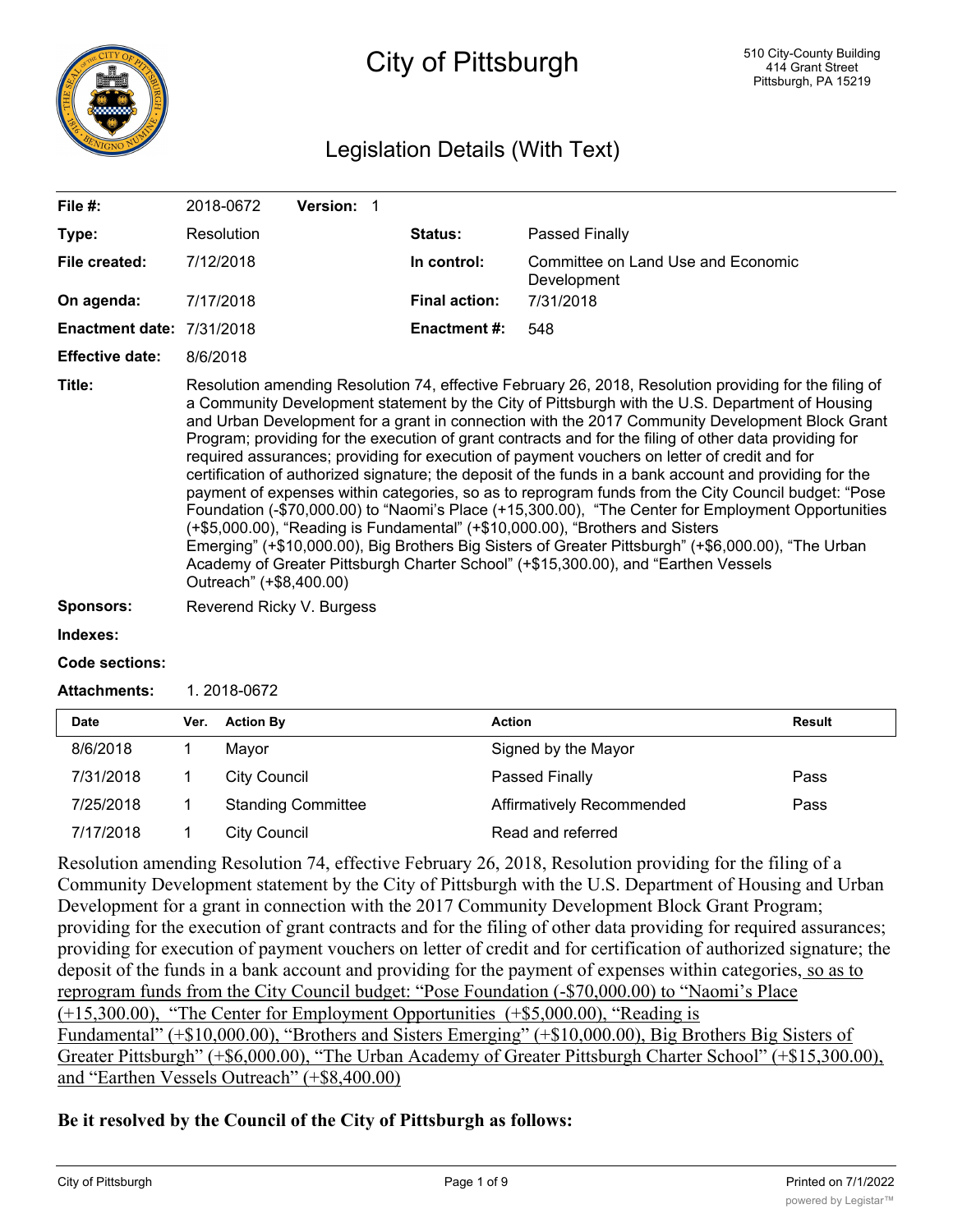

# City of Pittsburgh

## Legislation Details (With Text)

| File #:                   | 2018-0672                 | <b>Version: 1</b> |                      |                                                                                                                                                                                                                                                                                                                                                                                                                                                                                                                                                                                                                                                                                                                                                                                                                                                                                                                                                                                                                                                                                                                              |
|---------------------------|---------------------------|-------------------|----------------------|------------------------------------------------------------------------------------------------------------------------------------------------------------------------------------------------------------------------------------------------------------------------------------------------------------------------------------------------------------------------------------------------------------------------------------------------------------------------------------------------------------------------------------------------------------------------------------------------------------------------------------------------------------------------------------------------------------------------------------------------------------------------------------------------------------------------------------------------------------------------------------------------------------------------------------------------------------------------------------------------------------------------------------------------------------------------------------------------------------------------------|
| Type:                     | Resolution                |                   | Status:              | Passed Finally                                                                                                                                                                                                                                                                                                                                                                                                                                                                                                                                                                                                                                                                                                                                                                                                                                                                                                                                                                                                                                                                                                               |
| File created:             | 7/12/2018                 |                   | In control:          | Committee on Land Use and Economic<br>Development                                                                                                                                                                                                                                                                                                                                                                                                                                                                                                                                                                                                                                                                                                                                                                                                                                                                                                                                                                                                                                                                            |
| On agenda:                | 7/17/2018                 |                   | <b>Final action:</b> | 7/31/2018                                                                                                                                                                                                                                                                                                                                                                                                                                                                                                                                                                                                                                                                                                                                                                                                                                                                                                                                                                                                                                                                                                                    |
| Enactment date: 7/31/2018 |                           |                   | <b>Enactment #:</b>  | 548                                                                                                                                                                                                                                                                                                                                                                                                                                                                                                                                                                                                                                                                                                                                                                                                                                                                                                                                                                                                                                                                                                                          |
| <b>Effective date:</b>    | 8/6/2018                  |                   |                      |                                                                                                                                                                                                                                                                                                                                                                                                                                                                                                                                                                                                                                                                                                                                                                                                                                                                                                                                                                                                                                                                                                                              |
| Title:                    | Outreach" (+\$8,400.00)   |                   |                      | Resolution amending Resolution 74, effective February 26, 2018, Resolution providing for the filing of<br>a Community Development statement by the City of Pittsburgh with the U.S. Department of Housing<br>and Urban Development for a grant in connection with the 2017 Community Development Block Grant<br>Program; providing for the execution of grant contracts and for the filing of other data providing for<br>required assurances; providing for execution of payment vouchers on letter of credit and for<br>certification of authorized signature; the deposit of the funds in a bank account and providing for the<br>payment of expenses within categories, so as to reprogram funds from the City Council budget: "Pose<br>Foundation (-\$70,000.00) to "Naomi's Place (+15,300.00), "The Center for Employment Opportunities<br>(+\$5,000.00), "Reading is Fundamental" (+\$10,000.00), "Brothers and Sisters<br>Emerging" (+\$10,000.00), Big Brothers Big Sisters of Greater Pittsburgh" (+\$6,000.00), "The Urban<br>Academy of Greater Pittsburgh Charter School" (+\$15,300.00), and "Earthen Vessels |
| <b>Sponsors:</b>          | Reverend Ricky V. Burgess |                   |                      |                                                                                                                                                                                                                                                                                                                                                                                                                                                                                                                                                                                                                                                                                                                                                                                                                                                                                                                                                                                                                                                                                                                              |
| Indexes:                  |                           |                   |                      |                                                                                                                                                                                                                                                                                                                                                                                                                                                                                                                                                                                                                                                                                                                                                                                                                                                                                                                                                                                                                                                                                                                              |
| Code sections:            |                           |                   |                      |                                                                                                                                                                                                                                                                                                                                                                                                                                                                                                                                                                                                                                                                                                                                                                                                                                                                                                                                                                                                                                                                                                                              |

**Attachments:** 1. 2018-0672

| <b>Date</b> | Ver. | <b>Action By</b>          | <b>Action</b>             | <b>Result</b> |
|-------------|------|---------------------------|---------------------------|---------------|
| 8/6/2018    |      | Mavor                     | Signed by the Mayor       |               |
| 7/31/2018   |      | City Council              | Passed Finally            | Pass          |
| 7/25/2018   |      | <b>Standing Committee</b> | Affirmatively Recommended | Pass          |
| 7/17/2018   |      | City Council              | Read and referred         |               |

Resolution amending Resolution 74, effective February 26, 2018, Resolution providing for the filing of a Community Development statement by the City of Pittsburgh with the U.S. Department of Housing and Urban Development for a grant in connection with the 2017 Community Development Block Grant Program; providing for the execution of grant contracts and for the filing of other data providing for required assurances; providing for execution of payment vouchers on letter of credit and for certification of authorized signature; the deposit of the funds in a bank account and providing for the payment of expenses within categories, so as to reprogram funds from the City Council budget: "Pose Foundation (-\$70,000.00) to "Naomi's Place (+15,300.00), "The Center for Employment Opportunities (+\$5,000.00), "Reading is Fundamental" (+\$10,000.00), "Brothers and Sisters Emerging" (+\$10,000.00), Big Brothers Big Sisters of Greater Pittsburgh" (+\$6,000.00), "The Urban Academy of Greater Pittsburgh Charter School" (+\$15,300.00), and "Earthen Vessels Outreach" (+\$8,400.00)

## **Be it resolved by the Council of the City of Pittsburgh as follows:**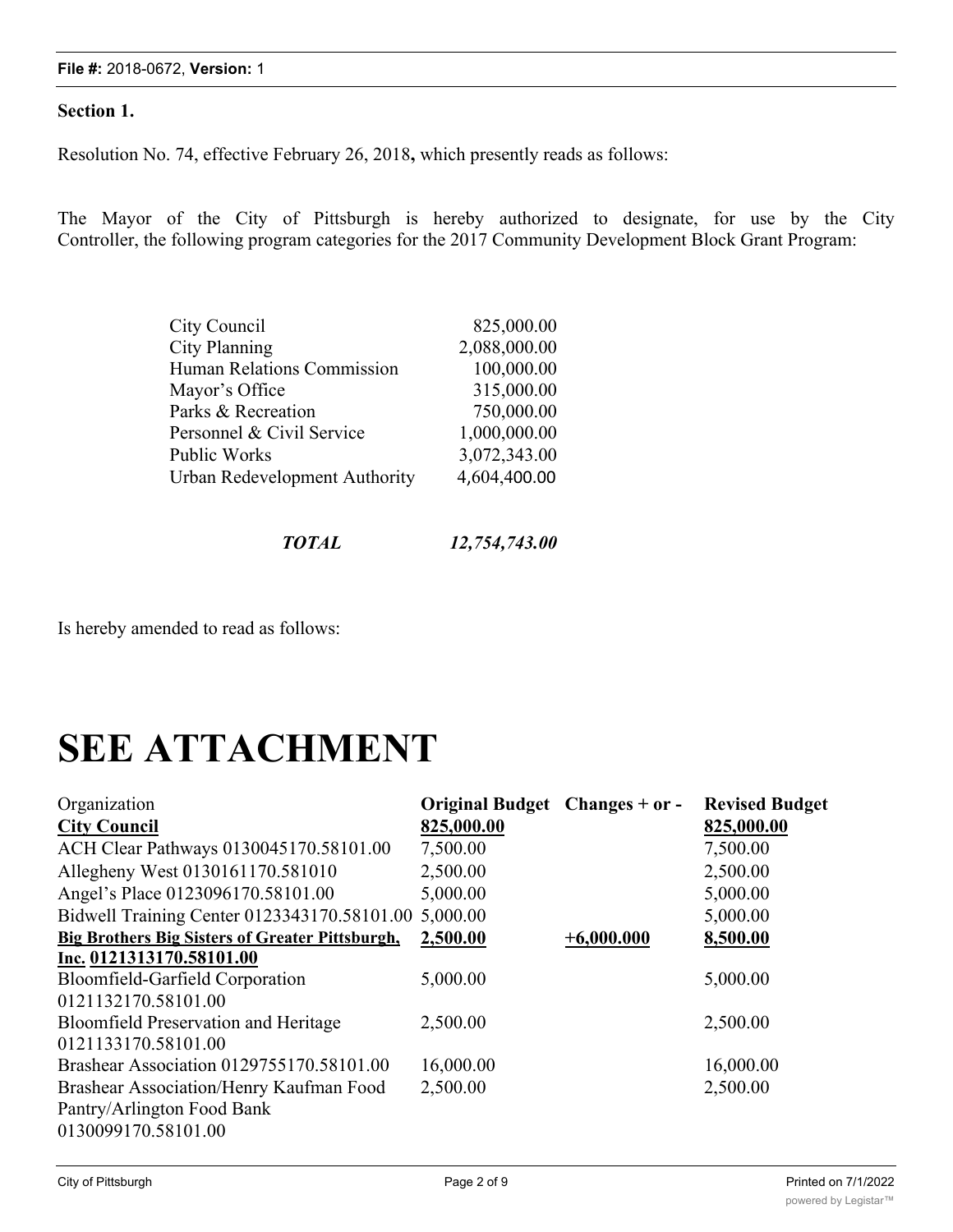### **File #:** 2018-0672, **Version:** 1

## **Section 1.**

Resolution No. 74, effective February 26, 2018**,** which presently reads as follows:

The Mayor of the City of Pittsburgh is hereby authorized to designate, for use by the City Controller, the following program categories for the 2017 Community Development Block Grant Program:

| City Council                      | 825,000.00   |
|-----------------------------------|--------------|
| <b>City Planning</b>              | 2,088,000.00 |
| <b>Human Relations Commission</b> | 100,000.00   |
| Mayor's Office                    | 315,000.00   |
| Parks & Recreation                | 750,000.00   |
| Personnel & Civil Service         | 1,000,000.00 |
| Public Works                      | 3,072,343.00 |
| Urban Redevelopment Authority     | 4,604,400.00 |

Is hereby amended to read as follows:

# **SEE ATTACHMENT**

| Organization                                           | Original Budget Changes + or - |              | <b>Revised Budget</b> |
|--------------------------------------------------------|--------------------------------|--------------|-----------------------|
| <b>City Council</b>                                    | 825,000.00                     |              | 825,000.00            |
| ACH Clear Pathways 0130045170.58101.00                 | 7,500.00                       |              | 7,500.00              |
| Allegheny West 0130161170.581010                       | 2,500.00                       |              | 2,500.00              |
| Angel's Place 0123096170.58101.00                      | 5,000.00                       |              | 5,000.00              |
| Bidwell Training Center 0123343170.58101.00            | 5,000.00                       |              | 5,000.00              |
| <b>Big Brothers Big Sisters of Greater Pittsburgh,</b> | 2,500.00                       | $+6,000.000$ | 8,500.00              |
| Inc. 0121313170.58101.00                               |                                |              |                       |
| Bloomfield-Garfield Corporation                        | 5,000.00                       |              | 5,000.00              |
| 0121132170.58101.00                                    |                                |              |                       |
| <b>Bloomfield Preservation and Heritage</b>            | 2,500.00                       |              | 2,500.00              |
| 0121133170.58101.00                                    |                                |              |                       |
| Brashear Association 0129755170.58101.00               | 16,000.00                      |              | 16,000.00             |
| Brashear Association/Henry Kaufman Food                | 2,500.00                       |              | 2,500.00              |
| Pantry/Arlington Food Bank                             |                                |              |                       |
| 0130099170.58101.00                                    |                                |              |                       |
|                                                        |                                |              |                       |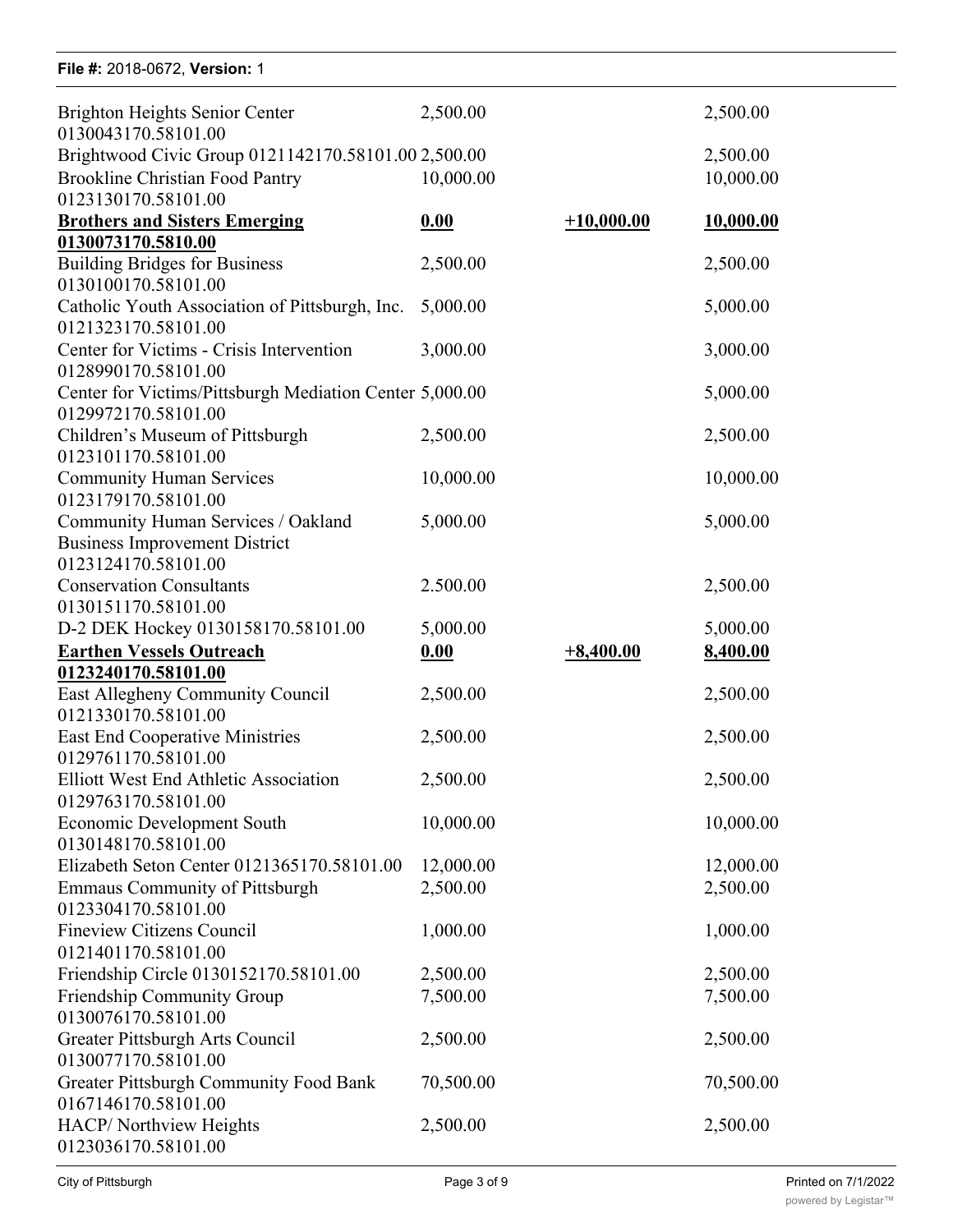| File #: 2018-0672, Version: 1                                                  |           |              |           |
|--------------------------------------------------------------------------------|-----------|--------------|-----------|
| Brighton Heights Senior Center<br>0130043170.58101.00                          | 2,500.00  |              | 2,500.00  |
| Brightwood Civic Group 0121142170.58101.00 2,500.00                            |           |              | 2,500.00  |
| <b>Brookline Christian Food Pantry</b>                                         | 10,000.00 |              | 10,000.00 |
| 0123130170.58101.00                                                            |           |              |           |
|                                                                                |           | $+10,000.00$ |           |
| <b>Brothers and Sisters Emerging</b>                                           | 0.00      |              | 10,000.00 |
| 0130073170.5810.00                                                             |           |              |           |
| <b>Building Bridges for Business</b>                                           | 2,500.00  |              | 2,500.00  |
| 0130100170.58101.00                                                            |           |              |           |
| Catholic Youth Association of Pittsburgh, Inc.                                 | 5,000.00  |              | 5,000.00  |
| 0121323170.58101.00                                                            |           |              |           |
| Center for Victims - Crisis Intervention                                       | 3,000.00  |              | 3,000.00  |
| 0128990170.58101.00                                                            |           |              |           |
| Center for Victims/Pittsburgh Mediation Center 5,000.00<br>0129972170.58101.00 |           |              | 5,000.00  |
| Children's Museum of Pittsburgh                                                | 2,500.00  |              | 2,500.00  |
| 0123101170.58101.00                                                            |           |              |           |
| <b>Community Human Services</b><br>0123179170.58101.00                         | 10,000.00 |              | 10,000.00 |
| Community Human Services / Oakland                                             | 5,000.00  |              | 5,000.00  |
| <b>Business Improvement District</b>                                           |           |              |           |
| 0123124170.58101.00                                                            |           |              |           |
| <b>Conservation Consultants</b>                                                | 2.500.00  |              |           |
|                                                                                |           |              | 2,500.00  |
| 0130151170.58101.00                                                            |           |              |           |
| D-2 DEK Hockey 0130158170.58101.00                                             | 5,000.00  |              | 5,000.00  |
| <b>Earthen Vessels Outreach</b>                                                | 0.00      | $+8,400.00$  | 8,400.00  |
| 0123240170.58101.00                                                            |           |              |           |
| East Allegheny Community Council                                               | 2,500.00  |              | 2,500.00  |
| 0121330170.58101.00                                                            |           |              |           |
| <b>East End Cooperative Ministries</b>                                         | 2,500.00  |              | 2,500.00  |
| 0129761170.58101.00                                                            |           |              |           |
| Elliott West End Athletic Association                                          | 2,500.00  |              | 2,500.00  |
| 0129763170.58101.00                                                            |           |              |           |
| <b>Economic Development South</b>                                              | 10,000.00 |              | 10,000.00 |
| 0130148170.58101.00                                                            |           |              |           |
| Elizabeth Seton Center 0121365170.58101.00                                     | 12,000.00 |              | 12,000.00 |
| <b>Emmaus Community of Pittsburgh</b>                                          | 2,500.00  |              | 2,500.00  |
| 0123304170.58101.00                                                            |           |              |           |
| <b>Fineview Citizens Council</b>                                               | 1,000.00  |              |           |
|                                                                                |           |              | 1,000.00  |
| 0121401170.58101.00                                                            |           |              |           |
| Friendship Circle 0130152170.58101.00                                          | 2,500.00  |              | 2,500.00  |
| Friendship Community Group                                                     | 7,500.00  |              | 7,500.00  |
| 0130076170.58101.00                                                            |           |              |           |
| Greater Pittsburgh Arts Council                                                | 2,500.00  |              | 2,500.00  |
| 0130077170.58101.00                                                            |           |              |           |
| Greater Pittsburgh Community Food Bank                                         | 70,500.00 |              | 70,500.00 |
| 0167146170.58101.00                                                            |           |              |           |
| HACP/Northview Heights                                                         | 2,500.00  |              | 2,500.00  |
| 0123036170.58101.00                                                            |           |              |           |
|                                                                                |           |              |           |

2,500.00 2,500.00

Brashear Association/Henry Kaufman Food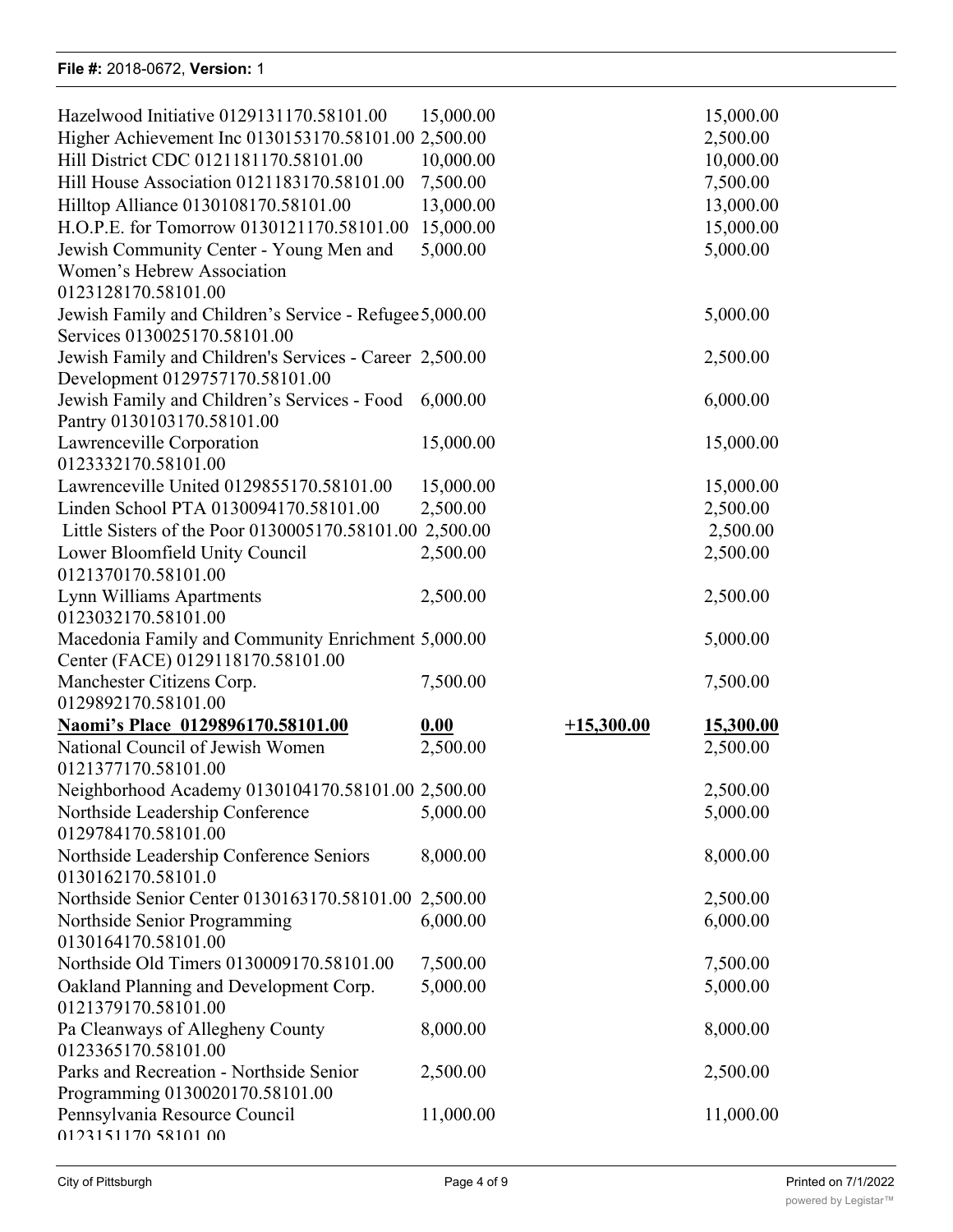### **File #:** 2018-0672, **Version:** 1 0167146170.58101.00 File #: 2018-0672, Version:  $\gamma$

| Hazelwood Initiative 0129131170.58101.00                              |           |              |           |
|-----------------------------------------------------------------------|-----------|--------------|-----------|
|                                                                       | 15,000.00 |              | 15,000.00 |
| Higher Achievement Inc 0130153170.58101.00 2,500.00                   |           |              | 2,500.00  |
| Hill District CDC 0121181170.58101.00                                 | 10,000.00 |              | 10,000.00 |
| Hill House Association 0121183170.58101.00                            | 7,500.00  |              | 7,500.00  |
| Hilltop Alliance 0130108170.58101.00                                  | 13,000.00 |              | 13,000.00 |
| H.O.P.E. for Tomorrow 0130121170.58101.00                             | 15,000.00 |              | 15,000.00 |
|                                                                       | 5,000.00  |              | 5,000.00  |
| Jewish Community Center - Young Men and<br>Women's Hebrew Association |           |              |           |
| 0123128170.58101.00                                                   |           |              |           |
| Jewish Family and Children's Service - Refugee 5,000.00               |           |              | 5,000.00  |
| Services 0130025170.58101.00                                          |           |              |           |
| Jewish Family and Children's Services - Career 2,500.00               |           |              | 2,500.00  |
| Development 0129757170.58101.00                                       |           |              |           |
| Jewish Family and Children's Services - Food                          | 6,000.00  |              | 6,000.00  |
| Pantry 0130103170.58101.00                                            |           |              |           |
| Lawrenceville Corporation                                             | 15,000.00 |              | 15,000.00 |
| 0123332170.58101.00                                                   |           |              |           |
| Lawrenceville United 0129855170.58101.00                              | 15,000.00 |              | 15,000.00 |
| Linden School PTA 0130094170.58101.00                                 | 2,500.00  |              | 2,500.00  |
| Little Sisters of the Poor 0130005170.58101.00 2,500.00               |           |              | 2,500.00  |
| Lower Bloomfield Unity Council                                        | 2,500.00  |              | 2,500.00  |
| 0121370170.58101.00                                                   |           |              |           |
| Lynn Williams Apartments                                              | 2,500.00  |              | 2,500.00  |
| 0123032170.58101.00                                                   |           |              |           |
| Macedonia Family and Community Enrichment 5,000.00                    |           |              | 5,000.00  |
|                                                                       |           |              |           |
|                                                                       |           |              |           |
| Center (FACE) 0129118170.58101.00                                     |           |              |           |
| Manchester Citizens Corp.                                             | 7,500.00  |              | 7,500.00  |
| 0129892170.58101.00                                                   |           |              |           |
| Naomi's Place 0129896170.58101.00                                     | 0.00      | $+15,300.00$ | 15,300.00 |
| National Council of Jewish Women                                      | 2,500.00  |              | 2,500.00  |
| 0121377170.58101.00                                                   |           |              |           |
| Neighborhood Academy 0130104170.58101.00 2,500.00                     |           |              | 2,500.00  |
| Northside Leadership Conference                                       | 5,000.00  |              | 5,000.00  |
| 0129784170.58101.00                                                   |           |              |           |
| Northside Leadership Conference Seniors                               | 8,000.00  |              | 8,000.00  |
| 0130162170.58101.0                                                    |           |              |           |
| Northside Senior Center 0130163170.58101.00 2,500.00                  |           |              | 2,500.00  |
| Northside Senior Programming                                          | 6,000.00  |              | 6,000.00  |
| 0130164170.58101.00                                                   |           |              |           |
| Northside Old Timers 0130009170.58101.00                              | 7,500.00  |              | 7,500.00  |
| Oakland Planning and Development Corp.<br>0121379170.58101.00         | 5,000.00  |              | 5,000.00  |
|                                                                       |           |              |           |
| Pa Cleanways of Allegheny County<br>0123365170.58101.00               | 8,000.00  |              | 8,000.00  |
| Parks and Recreation - Northside Senior                               | 2,500.00  |              | 2,500.00  |
| Programming 0130020170.58101.00                                       |           |              |           |
| Pennsylvania Resource Council                                         | 11,000.00 |              | 11,000.00 |

People's Oakland 0129970170.58101.00 2,500.00 2,500.00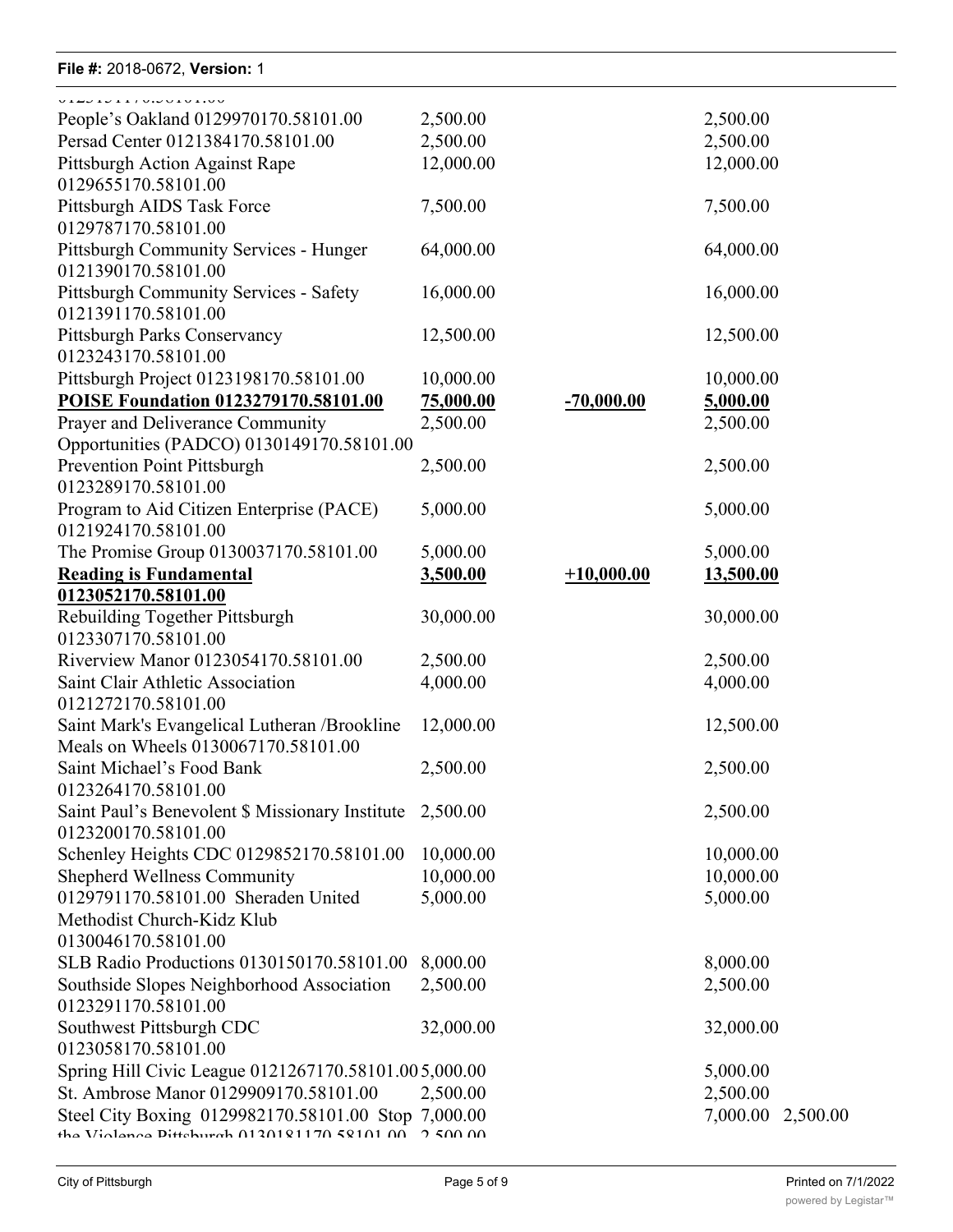### **File #:** 2018-0672, **Version:** 1 Programming 0130020170.58101.00 File #: 2018-0672, Version: 1

| V14010111000010100<br>People's Oakland 0129970170.58101.00               | 2,500.00  |              | 2,500.00             |
|--------------------------------------------------------------------------|-----------|--------------|----------------------|
| Persad Center 0121384170.58101.00                                        | 2,500.00  |              | 2,500.00             |
| Pittsburgh Action Against Rape                                           | 12,000.00 |              | 12,000.00            |
| 0129655170.58101.00                                                      |           |              |                      |
| Pittsburgh AIDS Task Force                                               | 7,500.00  |              | 7,500.00             |
| 0129787170.58101.00                                                      |           |              |                      |
| Pittsburgh Community Services - Hunger                                   | 64,000.00 |              | 64,000.00            |
| 0121390170.58101.00                                                      |           |              |                      |
| <b>Pittsburgh Community Services - Safety</b>                            | 16,000.00 |              | 16,000.00            |
| 0121391170.58101.00                                                      |           |              |                      |
| Pittsburgh Parks Conservancy                                             | 12,500.00 |              | 12,500.00            |
| 0123243170.58101.00                                                      |           |              |                      |
| Pittsburgh Project 0123198170.58101.00                                   | 10,000.00 |              | 10,000.00            |
| POISE Foundation 0123279170.58101.00                                     | 75,000.00 | $-70,000.00$ | 5,000.00             |
| Prayer and Deliverance Community                                         | 2,500.00  |              | 2,500.00             |
| Opportunities (PADCO) 0130149170.58101.00<br>Prevention Point Pittsburgh |           |              |                      |
| 0123289170.58101.00                                                      | 2,500.00  |              | 2,500.00             |
| Program to Aid Citizen Enterprise (PACE)                                 | 5,000.00  |              | 5,000.00             |
| 0121924170.58101.00                                                      |           |              |                      |
| The Promise Group 0130037170.58101.00                                    | 5,000.00  |              | 5,000.00             |
| <b>Reading is Fundamental</b>                                            | 3,500.00  | $+10,000.00$ | 13,500.00            |
| 0123052170.58101.00                                                      |           |              |                      |
| Rebuilding Together Pittsburgh                                           | 30,000.00 |              | 30,000.00            |
| 0123307170.58101.00                                                      |           |              |                      |
| Riverview Manor 0123054170.58101.00                                      | 2,500.00  |              | 2,500.00             |
| Saint Clair Athletic Association                                         | 4,000.00  |              | 4,000.00             |
| 0121272170.58101.00                                                      |           |              |                      |
| Saint Mark's Evangelical Lutheran / Brookline                            | 12,000.00 |              | 12,500.00            |
| Meals on Wheels 0130067170.58101.00                                      |           |              |                      |
| Saint Michael's Food Bank                                                | 2,500.00  |              | 2,500.00             |
| 0123264170.58101.00                                                      |           |              |                      |
| Saint Paul's Benevolent \$ Missionary Institute                          | 2,500.00  |              | 2,500.00             |
| 0123200170.58101.00                                                      |           |              |                      |
| Schenley Heights CDC 0129852170.58101.00                                 | 10,000.00 |              | 10,000.00            |
| <b>Shepherd Wellness Community</b>                                       | 10,000.00 |              | 10,000.00            |
| 0129791170.58101.00 Sheraden United<br>Methodist Church-Kidz Klub        | 5,000.00  |              | 5,000.00             |
| 0130046170.58101.00                                                      |           |              |                      |
| SLB Radio Productions 0130150170.58101.00                                | 8,000.00  |              | 8,000.00             |
| Southside Slopes Neighborhood Association                                | 2,500.00  |              | 2,500.00             |
| 0123291170.58101.00                                                      |           |              |                      |
| Southwest Pittsburgh CDC                                                 | 32,000.00 |              | 32,000.00            |
| 0123058170.58101.00                                                      |           |              |                      |
| Spring Hill Civic League 0121267170.58101.005,000.00                     |           |              | 5,000.00             |
| St. Ambrose Manor 0129909170.58101.00                                    | 2,500.00  |              | 2,500.00             |
| Steel City Boxing 0129982170.58101.00 Stop 7,000.00                      |           |              | 7,000.00<br>2,500.00 |
| the Violence Dittohurch 0120101170 50101 00                              | 250000    |              |                      |

**The Center for Employment Opportunities**

**0.00 +5,000.00 5,000.00**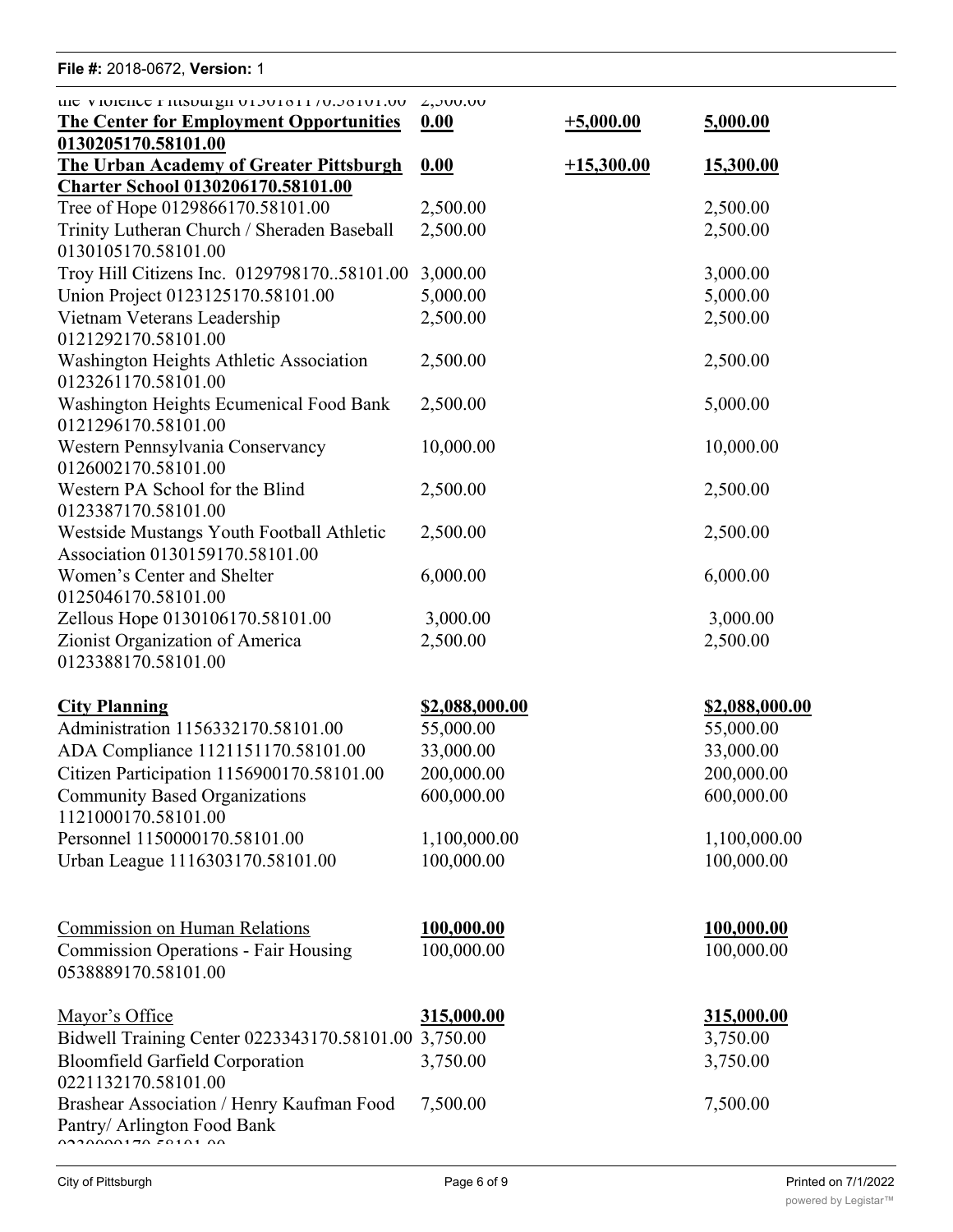## **File #:** 2018-0672, **Version:** 1 St. Ambrose Manor 0129909170.58101.00 2,500.00 2,500.00 THE  $\pi$ . 2010-0072, Version. 1

| <b>I</b> II <del>G</del> $\pi$ . ZU 10-007 Z, VEISIUII. T                                       |                       |              |                       |
|-------------------------------------------------------------------------------------------------|-----------------------|--------------|-----------------------|
| the violence riusouign 01301011/0.30101.00<br><b>The Center for Employment Opportunities</b>    | 2,000.00<br>0.00      | $+5,000.00$  | 5,000.00              |
| 0130205170.58101.00<br><b>The Urban Academy of Greater Pittsburgh</b>                           | 0.00                  | $+15,300.00$ | 15,300.00             |
| <b>Charter School 0130206170.58101.00</b>                                                       | 2,500.00              |              | 2,500.00              |
| Tree of Hope 0129866170.58101.00<br>Trinity Lutheran Church / Sheraden Baseball                 | 2,500.00              |              | 2,500.00              |
| 0130105170.58101.00                                                                             |                       |              |                       |
| Troy Hill Citizens Inc. 012979817058101.00                                                      | 3,000.00              |              | 3,000.00              |
| Union Project 0123125170.58101.00                                                               | 5,000.00              |              | 5,000.00              |
| Vietnam Veterans Leadership<br>0121292170.58101.00                                              | 2,500.00              |              | 2,500.00              |
| Washington Heights Athletic Association<br>0123261170.58101.00                                  | 2,500.00              |              | 2,500.00              |
| Washington Heights Ecumenical Food Bank<br>0121296170.58101.00                                  | 2,500.00              |              | 5,000.00              |
| Western Pennsylvania Conservancy<br>0126002170.58101.00                                         | 10,000.00             |              | 10,000.00             |
| Western PA School for the Blind<br>0123387170.58101.00                                          | 2,500.00              |              | 2,500.00              |
| Westside Mustangs Youth Football Athletic<br>Association 0130159170.58101.00                    | 2,500.00              |              | 2,500.00              |
| Women's Center and Shelter<br>0125046170.58101.00                                               | 6,000.00              |              | 6,000.00              |
| Zellous Hope 0130106170.58101.00                                                                | 3,000.00              |              | 3,000.00              |
| Zionist Organization of America<br>0123388170.58101.00                                          | 2,500.00              |              | 2,500.00              |
| <b>City Planning</b>                                                                            | <u>\$2,088,000.00</u> |              | <u>\$2,088,000.00</u> |
| Administration 1156332170.58101.00                                                              | 55,000.00             |              | 55,000.00             |
| ADA Compliance 1121151170.58101.00                                                              | 33,000.00             |              | 33,000.00             |
| Citizen Participation 1156900170.58101.00                                                       | 200,000.00            |              | 200,000.00            |
| <b>Community Based Organizations</b><br>1121000170.58101.00                                     | 600,000.00            |              | 600,000.00            |
| Personnel 1150000170.58101.00                                                                   | 1,100,000.00          |              | 1,100,000.00          |
| Urban League 1116303170.58101.00                                                                | 100,000.00            |              | 100,000.00            |
| <b>Commission on Human Relations</b>                                                            | 100,000.00            |              | 100,000.00            |
| <b>Commission Operations - Fair Housing</b><br>0538889170.58101.00                              | 100,000.00            |              | 100,000.00            |
| Mayor's Office                                                                                  | <u>315,000.00</u>     |              | 315,000.00            |
| Bidwell Training Center 0223343170.58101.00 3,750.00                                            |                       |              | 3,750.00              |
| <b>Bloomfield Garfield Corporation</b><br>0221132170.58101.00                                   | 3,750.00              |              | 3,750.00              |
| Brashear Association / Henry Kaufman Food<br>Pantry/ Arlington Food Bank<br>0.22000017070010100 | 7,500.00              |              | 7,500.00              |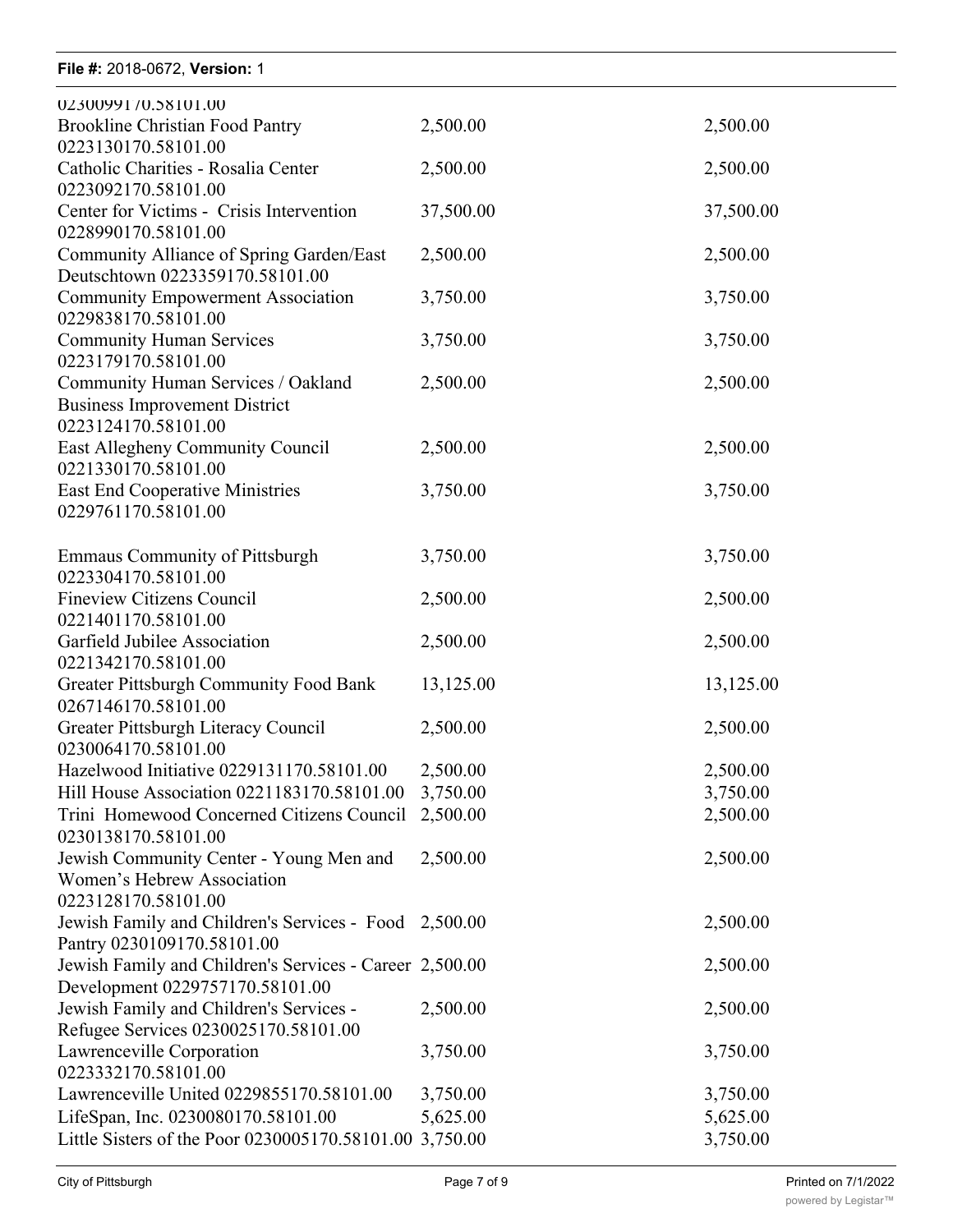# **File #:** 2018-0672, Version: 1

| 0230099170.58101.00                                                                        |           |           |
|--------------------------------------------------------------------------------------------|-----------|-----------|
| <b>Brookline Christian Food Pantry</b><br>0223130170.58101.00                              | 2,500.00  | 2,500.00  |
| Catholic Charities - Rosalia Center<br>0223092170.58101.00                                 | 2,500.00  | 2,500.00  |
| Center for Victims - Crisis Intervention                                                   | 37,500.00 | 37,500.00 |
| 0228990170.58101.00<br>Community Alliance of Spring Garden/East                            | 2,500.00  | 2,500.00  |
| Deutschtown 0223359170.58101.00<br><b>Community Empowerment Association</b>                | 3,750.00  | 3,750.00  |
| 0229838170.58101.00<br><b>Community Human Services</b>                                     | 3,750.00  | 3,750.00  |
| 0223179170.58101.00<br>Community Human Services / Oakland                                  | 2,500.00  | 2,500.00  |
| <b>Business Improvement District</b><br>0223124170.58101.00                                |           |           |
| East Allegheny Community Council<br>0221330170.58101.00                                    | 2,500.00  | 2,500.00  |
| <b>East End Cooperative Ministries</b><br>0229761170.58101.00                              | 3,750.00  | 3,750.00  |
| <b>Emmaus Community of Pittsburgh</b><br>0223304170.58101.00                               | 3,750.00  | 3,750.00  |
| <b>Fineview Citizens Council</b><br>0221401170.58101.00                                    | 2,500.00  | 2,500.00  |
| Garfield Jubilee Association<br>0221342170.58101.00                                        | 2,500.00  | 2,500.00  |
| Greater Pittsburgh Community Food Bank<br>0267146170.58101.00                              | 13,125.00 | 13,125.00 |
| Greater Pittsburgh Literacy Council<br>0230064170.58101.00                                 | 2,500.00  | 2,500.00  |
| Hazelwood Initiative 0229131170.58101.00                                                   | 2,500.00  | 2,500.00  |
| Hill House Association 0221183170.58101.00                                                 | 3,750.00  | 3,750.00  |
| Trini Homewood Concerned Citizens Council<br>0230138170.58101.00                           | 2,500.00  | 2,500.00  |
| Jewish Community Center - Young Men and<br>Women's Hebrew Association                      | 2,500.00  | 2,500.00  |
| 0223128170.58101.00                                                                        |           |           |
| Jewish Family and Children's Services - Food 2,500.00<br>Pantry 0230109170.58101.00        |           | 2,500.00  |
| Jewish Family and Children's Services - Career 2,500.00<br>Development 0229757170.58101.00 |           | 2,500.00  |
| Jewish Family and Children's Services -<br>Refugee Services 0230025170.58101.00            | 2,500.00  | 2,500.00  |
| Lawrenceville Corporation                                                                  | 3,750.00  | 3,750.00  |
| 0223332170.58101.00<br>Lawrenceville United 0229855170.58101.00                            | 3,750.00  | 3,750.00  |
| LifeSpan, Inc. 0230080170.58101.00                                                         | 5,625.00  | 5,625.00  |
| Little Sisters of the Poor 0230005170.58101.00 3,750.00                                    |           | 3,750.00  |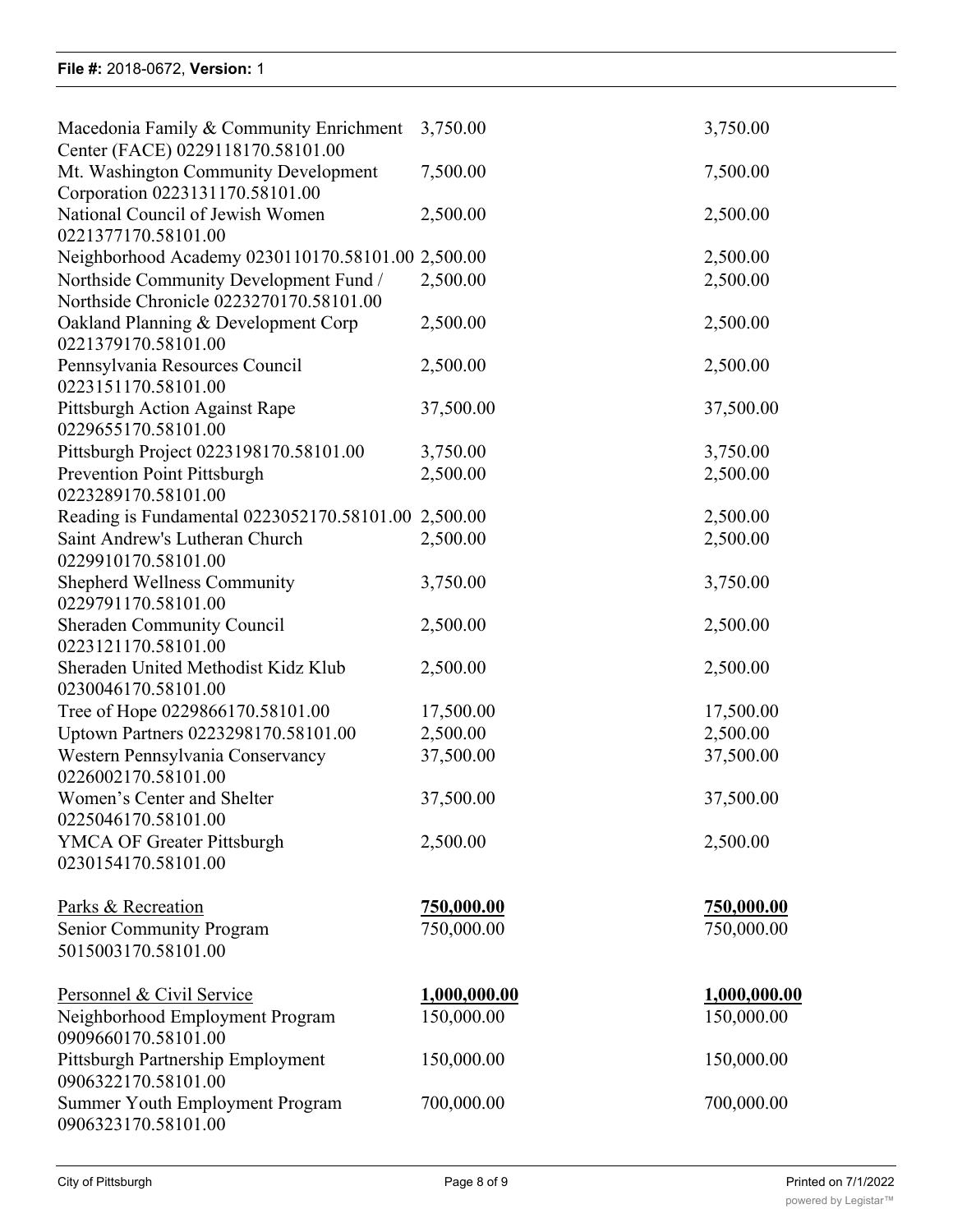| Macedonia Family & Community Enrichment                    | 3,750.00            | 3,750.00            |
|------------------------------------------------------------|---------------------|---------------------|
| Center (FACE) 0229118170.58101.00                          |                     |                     |
| Mt. Washington Community Development                       | 7,500.00            | 7,500.00            |
| Corporation 0223131170.58101.00                            |                     |                     |
| National Council of Jewish Women                           | 2,500.00            | 2,500.00            |
| 0221377170.58101.00                                        |                     |                     |
| Neighborhood Academy 0230110170.58101.00 2,500.00          |                     | 2,500.00            |
| Northside Community Development Fund /                     | 2,500.00            | 2,500.00            |
| Northside Chronicle 0223270170.58101.00                    |                     |                     |
| Oakland Planning & Development Corp<br>0221379170.58101.00 | 2,500.00            | 2,500.00            |
| Pennsylvania Resources Council                             | 2,500.00            | 2,500.00            |
| 0223151170.58101.00                                        |                     |                     |
| Pittsburgh Action Against Rape                             | 37,500.00           | 37,500.00           |
| 0229655170.58101.00                                        |                     |                     |
| Pittsburgh Project 0223198170.58101.00                     | 3,750.00            | 3,750.00            |
| <b>Prevention Point Pittsburgh</b>                         | 2,500.00            | 2,500.00            |
| 0223289170.58101.00                                        |                     |                     |
| Reading is Fundamental 0223052170.58101.00 2,500.00        |                     | 2,500.00            |
| Saint Andrew's Lutheran Church                             | 2,500.00            | 2,500.00            |
| 0229910170.58101.00                                        |                     |                     |
| <b>Shepherd Wellness Community</b>                         | 3,750.00            | 3,750.00            |
| 0229791170.58101.00                                        |                     |                     |
| <b>Sheraden Community Council</b><br>0223121170.58101.00   | 2,500.00            | 2,500.00            |
| Sheraden United Methodist Kidz Klub                        | 2,500.00            | 2,500.00            |
| 0230046170.58101.00                                        |                     |                     |
| Tree of Hope 0229866170.58101.00                           | 17,500.00           | 17,500.00           |
| Uptown Partners 0223298170.58101.00                        | 2,500.00            | 2,500.00            |
| Western Pennsylvania Conservancy                           | 37,500.00           | 37,500.00           |
| 0226002170.58101.00                                        |                     |                     |
| Women's Center and Shelter                                 | 37,500.00           | 37,500.00           |
| 0225046170.58101.00                                        |                     |                     |
| <b>YMCA OF Greater Pittsburgh</b>                          | 2,500.00            | 2,500.00            |
| 0230154170.58101.00                                        |                     |                     |
| Parks & Recreation                                         | <u>750,000.00</u>   | <u>750,000.00</u>   |
| <b>Senior Community Program</b>                            | 750,000.00          | 750,000.00          |
| 5015003170.58101.00                                        |                     |                     |
|                                                            |                     |                     |
| Personnel & Civil Service                                  | <u>1,000,000.00</u> | <u>1,000,000.00</u> |
| Neighborhood Employment Program                            | 150,000.00          | 150,000.00          |
| 0909660170.58101.00                                        |                     |                     |
| Pittsburgh Partnership Employment                          | 150,000.00          | 150,000.00          |
| 0906322170.58101.00                                        |                     |                     |
| Summer Youth Employment Program                            | 700,000.00          | 700,000.00          |
| 0906323170.58101.00                                        |                     |                     |